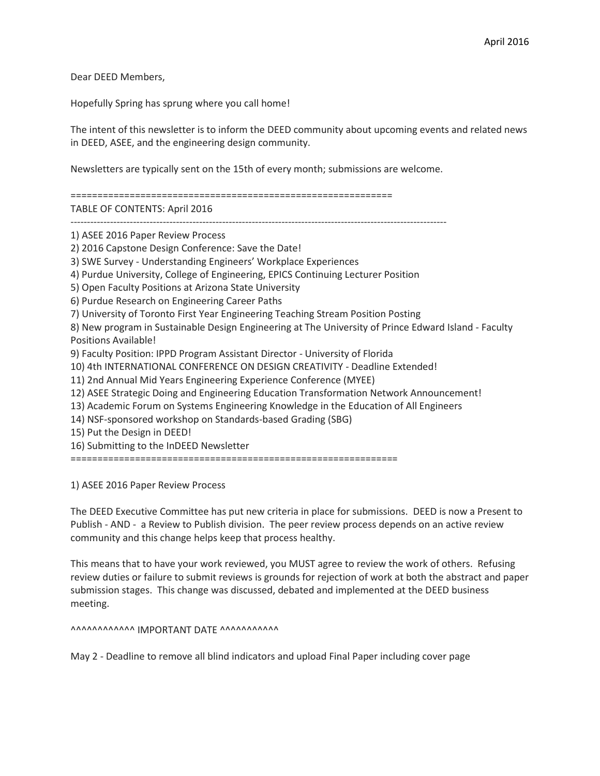Dear DEED Members,

Hopefully Spring has sprung where you call home!

The intent of this newsletter is to inform the DEED community about upcoming events and related news in DEED, ASEE, and the engineering design community.

Newsletters are typically sent on the 15th of every month; submissions are welcome.

============================================================

TABLE OF CONTENTS: April 2016

------------------------------------------------------------------------------------------------------------------

1) ASEE 2016 Paper Review Process

2) 2016 Capstone Design Conference: Save the Date!

3) SWE Survey - Understanding Engineers' Workplace Experiences

4) Purdue University, College of Engineering, EPICS Continuing Lecturer Position

5) Open Faculty Positions at Arizona State University

6) Purdue Research on Engineering Career Paths

7) University of Toronto First Year Engineering Teaching Stream Position Posting

8) New program in Sustainable Design Engineering at The University of Prince Edward Island - Faculty Positions Available!

9) Faculty Position: IPPD Program Assistant Director - University of Florida

10) 4th INTERNATIONAL CONFERENCE ON DESIGN CREATIVITY - Deadline Extended!

11) 2nd Annual Mid Years Engineering Experience Conference (MYEE)

12) ASEE Strategic Doing and Engineering Education Transformation Network Announcement!

13) Academic Forum on Systems Engineering Knowledge in the Education of All Engineers

14) NSF-sponsored workshop on Standards-based Grading (SBG)

15) Put the Design in DEED!

16) Submitting to the InDEED Newsletter

=============================================================

1) ASEE 2016 Paper Review Process

The DEED Executive Committee has put new criteria in place for submissions. DEED is now a Present to Publish - AND - a Review to Publish division. The peer review process depends on an active review community and this change helps keep that process healthy.

This means that to have your work reviewed, you MUST agree to review the work of others. Refusing review duties or failure to submit reviews is grounds for rejection of work at both the abstract and paper submission stages. This change was discussed, debated and implemented at the DEED business meeting.

 $\Lambda$ 

May 2 - Deadline to remove all blind indicators and upload Final Paper including cover page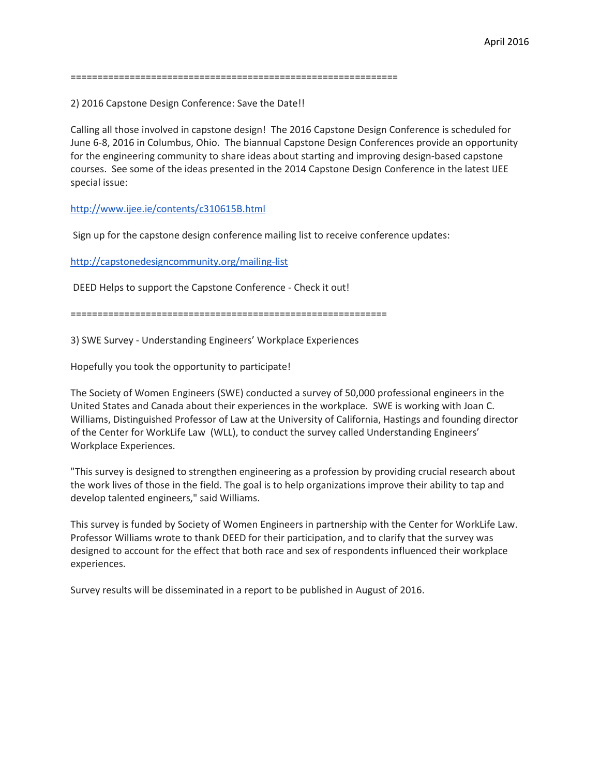2) 2016 Capstone Design Conference: Save the Date!!

Calling all those involved in capstone design! The 2016 Capstone Design Conference is scheduled for June 6-8, 2016 in Columbus, Ohio. The biannual Capstone Design Conferences provide an opportunity for the engineering community to share ideas about starting and improving design-based capstone courses. See some of the ideas presented in the 2014 Capstone Design Conference in the latest IJEE special issue:

<http://www.ijee.ie/contents/c310615B.html>

Sign up for the capstone design conference mailing list to receive conference updates:

<http://capstonedesigncommunity.org/mailing-list>

DEED Helps to support the Capstone Conference - Check it out!

===========================================================

3) SWE Survey - Understanding Engineers' Workplace Experiences

Hopefully you took the opportunity to participate!

The Society of Women Engineers (SWE) conducted a survey of 50,000 professional engineers in the United States and Canada about their experiences in the workplace. SWE is working with Joan C. Williams, Distinguished Professor of Law at the University of California, Hastings and founding director of the Center for WorkLife Law (WLL), to conduct the survey called Understanding Engineers' Workplace Experiences.

"This survey is designed to strengthen engineering as a profession by providing crucial research about the work lives of those in the field. The goal is to help organizations improve their ability to tap and develop talented engineers," said Williams.

This survey is funded by Society of Women Engineers in partnership with the Center for WorkLife Law. Professor Williams wrote to thank DEED for their participation, and to clarify that the survey was designed to account for the effect that both race and sex of respondents influenced their workplace experiences.

Survey results will be disseminated in a report to be published in August of 2016.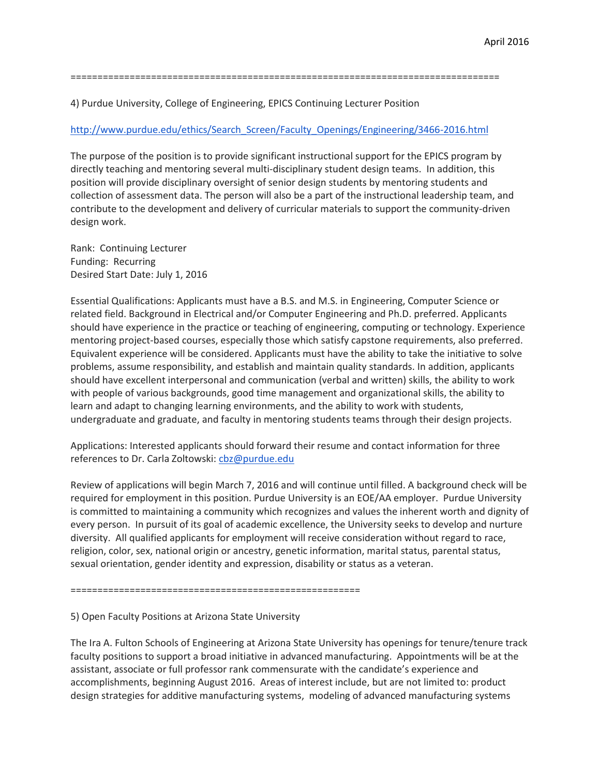================================================================================

4) Purdue University, College of Engineering, EPICS Continuing Lecturer Position

## [http://www.purdue.edu/ethics/Search\\_Screen/Faculty\\_Openings/Engineering/3466-2016.html](http://www.purdue.edu/ethics/Search_Screen/Faculty_Openings/Engineering/3466-2016.html)

The purpose of the position is to provide significant instructional support for the EPICS program by directly teaching and mentoring several multi-disciplinary student design teams. In addition, this position will provide disciplinary oversight of senior design students by mentoring students and collection of assessment data. The person will also be a part of the instructional leadership team, and contribute to the development and delivery of curricular materials to support the community-driven design work.

Rank: Continuing Lecturer Funding: Recurring Desired Start Date: July 1, 2016

Essential Qualifications: Applicants must have a B.S. and M.S. in Engineering, Computer Science or related field. Background in Electrical and/or Computer Engineering and Ph.D. preferred. Applicants should have experience in the practice or teaching of engineering, computing or technology. Experience mentoring project-based courses, especially those which satisfy capstone requirements, also preferred. Equivalent experience will be considered. Applicants must have the ability to take the initiative to solve problems, assume responsibility, and establish and maintain quality standards. In addition, applicants should have excellent interpersonal and communication (verbal and written) skills, the ability to work with people of various backgrounds, good time management and organizational skills, the ability to learn and adapt to changing learning environments, and the ability to work with students, undergraduate and graduate, and faculty in mentoring students teams through their design projects.

Applications: Interested applicants should forward their resume and contact information for three references to Dr. Carla Zoltowski: [cbz@purdue.edu](mailto:cbz@purdue.edu)

Review of applications will begin March 7, 2016 and will continue until filled. A background check will be required for employment in this position. Purdue University is an EOE/AA employer. Purdue University is committed to maintaining a community which recognizes and values the inherent worth and dignity of every person. In pursuit of its goal of academic excellence, the University seeks to develop and nurture diversity. All qualified applicants for employment will receive consideration without regard to race, religion, color, sex, national origin or ancestry, genetic information, marital status, parental status, sexual orientation, gender identity and expression, disability or status as a veteran.

======================================================

5) Open Faculty Positions at Arizona State University

The Ira A. Fulton Schools of Engineering at Arizona State University has openings for tenure/tenure track faculty positions to support a broad initiative in advanced manufacturing. Appointments will be at the assistant, associate or full professor rank commensurate with the candidate's experience and accomplishments, beginning August 2016. Areas of interest include, but are not limited to: product design strategies for additive manufacturing systems, modeling of advanced manufacturing systems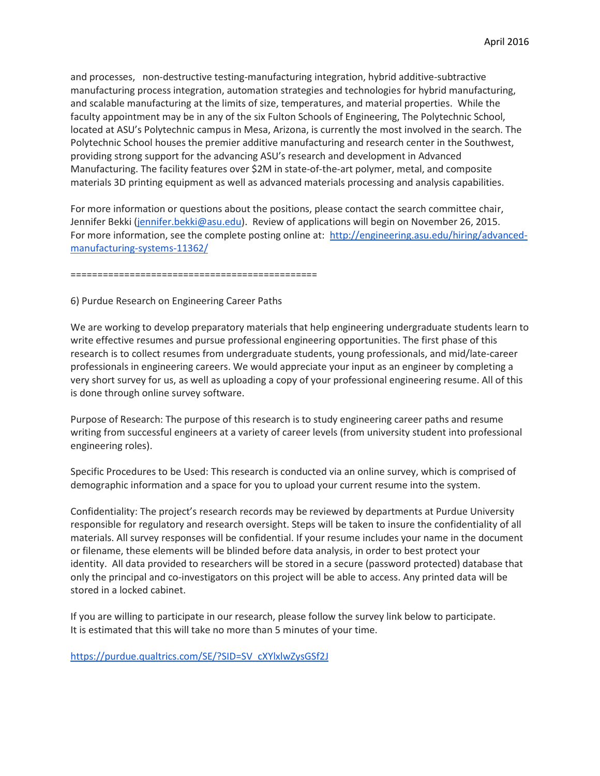and processes, non-destructive testing-manufacturing integration, hybrid additive-subtractive manufacturing process integration, automation strategies and technologies for hybrid manufacturing, and scalable manufacturing at the limits of size, temperatures, and material properties. While the faculty appointment may be in any of the six Fulton Schools of Engineering, The Polytechnic School, located at ASU's Polytechnic campus in Mesa, Arizona, is currently the most involved in the search. The Polytechnic School houses the premier additive manufacturing and research center in the Southwest, providing strong support for the advancing ASU's research and development in Advanced Manufacturing. The facility features over \$2M in state-of-the-art polymer, metal, and composite materials 3D printing equipment as well as advanced materials processing and analysis capabilities.

For more information or questions about the positions, please contact the search committee chair, Jennifer Bekki [\(jennifer.bekki@asu.edu\)](mailto:jennifer.bekki@asu.edu). Review of applications will begin on November 26, 2015. For more information, see the complete posting online at: [http://engineering.asu.edu/hiring/advanced](http://engineering.asu.edu/hiring/advanced-manufacturing-systems-11362/)[manufacturing-systems-11362/](http://engineering.asu.edu/hiring/advanced-manufacturing-systems-11362/)

==============================================

6) Purdue Research on Engineering Career Paths

We are working to develop preparatory materials that help engineering undergraduate students learn to write effective resumes and pursue professional engineering opportunities. The first phase of this research is to collect resumes from undergraduate students, young professionals, and mid/late-career professionals in engineering careers. We would appreciate your input as an engineer by completing a very short survey for us, as well as uploading a copy of your professional engineering resume. All of this is done through online survey software.

Purpose of Research: The purpose of this research is to study engineering career paths and resume writing from successful engineers at a variety of career levels (from university student into professional engineering roles).

Specific Procedures to be Used: This research is conducted via an online survey, which is comprised of demographic information and a space for you to upload your current resume into the system.

Confidentiality: The project's research records may be reviewed by departments at Purdue University responsible for regulatory and research oversight. Steps will be taken to insure the confidentiality of all materials. All survey responses will be confidential. If your resume includes your name in the document or filename, these elements will be blinded before data analysis, in order to best protect your identity. All data provided to researchers will be stored in a secure (password protected) database that only the principal and co-investigators on this project will be able to access. Any printed data will be stored in a locked cabinet.

If you are willing to participate in our research, please follow the survey link below to participate. It is estimated that this will take no more than 5 minutes of your time.

[https://purdue.qualtrics.com/SE/?SID=SV\\_cXYlxlwZysGSf2J](https://purdue.qualtrics.com/SE/?SID=SV_cXYlxlwZysGSf2J)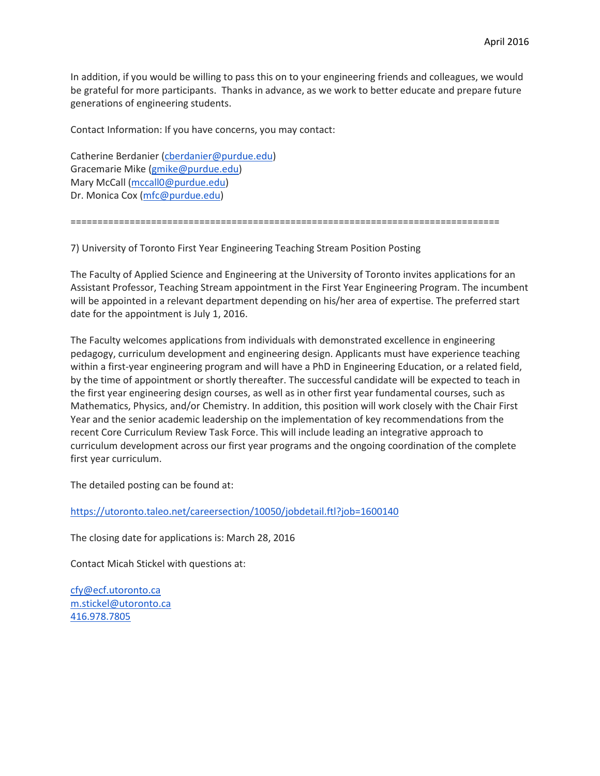In addition, if you would be willing to pass this on to your engineering friends and colleagues, we would be grateful for more participants. Thanks in advance, as we work to better educate and prepare future generations of engineering students.

Contact Information: If you have concerns, you may contact:

Catherine Berdanier [\(cberdanier@purdue.edu\)](mailto:cberdanier@purdue.edu) Gracemarie Mike [\(gmike@purdue.edu\)](mailto:gmike@purdue.edu) Mary McCall [\(mccall0@purdue.edu\)](mailto:mccall0@purdue.edu) Dr. Monica Cox [\(mfc@purdue.edu\)](mailto:mfc@purdue.edu)

================================================================================

7) University of Toronto First Year Engineering Teaching Stream Position Posting

The Faculty of Applied Science and Engineering at the University of Toronto invites applications for an Assistant Professor, Teaching Stream appointment in the First Year Engineering Program. The incumbent will be appointed in a relevant department depending on his/her area of expertise. The preferred start date for the appointment is July 1, 2016.

The Faculty welcomes applications from individuals with demonstrated excellence in engineering pedagogy, curriculum development and engineering design. Applicants must have experience teaching within a first-year engineering program and will have a PhD in Engineering Education, or a related field, by the time of appointment or shortly thereafter. The successful candidate will be expected to teach in the first year engineering design courses, as well as in other first year fundamental courses, such as Mathematics, Physics, and/or Chemistry. In addition, this position will work closely with the Chair First Year and the senior academic leadership on the implementation of key recommendations from the recent Core Curriculum Review Task Force. This will include leading an integrative approach to curriculum development across our first year programs and the ongoing coordination of the complete first year curriculum.

The detailed posting can be found at:

<https://utoronto.taleo.net/careersection/10050/jobdetail.ftl?job=1600140>

The closing date for applications is: March 28, 2016

Contact Micah Stickel with questions at:

[cfy@ecf.utoronto.ca](mailto:cfy@ecf.utoronto.ca) [m.stickel@utoronto.ca](mailto:m.stickel@utoronto.ca) [416.978.7805](tel:416.978.7805)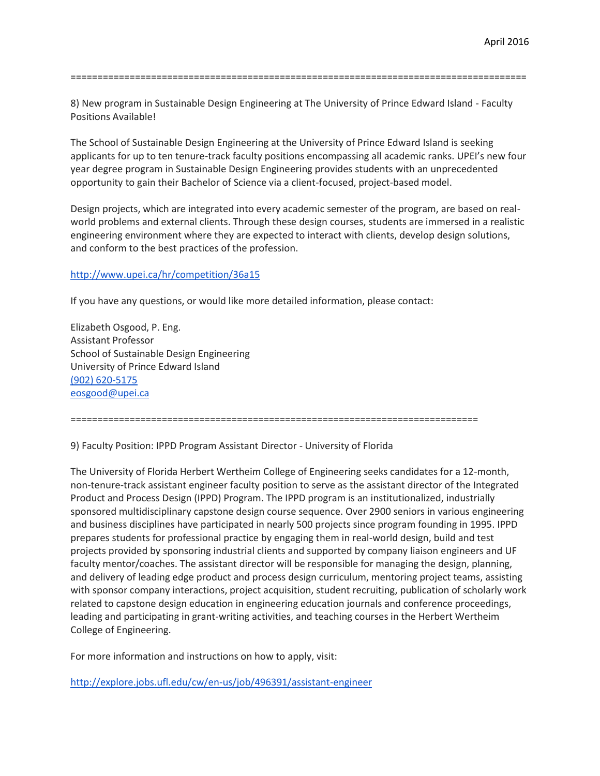=====================================================================================

8) New program in Sustainable Design Engineering at The University of Prince Edward Island - Faculty Positions Available!

The School of Sustainable Design Engineering at the University of Prince Edward Island is seeking applicants for up to ten tenure-track faculty positions encompassing all academic ranks. UPEI's new four year degree program in Sustainable Design Engineering provides students with an unprecedented opportunity to gain their Bachelor of Science via a client-focused, project-based model.

Design projects, which are integrated into every academic semester of the program, are based on realworld problems and external clients. Through these design courses, students are immersed in a realistic engineering environment where they are expected to interact with clients, develop design solutions, and conform to the best practices of the profession.

### <http://www.upei.ca/hr/competition/36a15>

If you have any questions, or would like more detailed information, please contact:

Elizabeth Osgood, P. Eng. Assistant Professor School of Sustainable Design Engineering University of Prince Edward Island [\(902\) 620-5175](tel:%28902%29%20620-5175) [eosgood@upei.ca](mailto:eosgood@upei.ca)

============================================================================

9) Faculty Position: IPPD Program Assistant Director - University of Florida

The University of Florida Herbert Wertheim College of Engineering seeks candidates for a 12-month, non-tenure-track assistant engineer faculty position to serve as the assistant director of the Integrated Product and Process Design (IPPD) Program. The IPPD program is an institutionalized, industrially sponsored multidisciplinary capstone design course sequence. Over 2900 seniors in various engineering and business disciplines have participated in nearly 500 projects since program founding in 1995. IPPD prepares students for professional practice by engaging them in real-world design, build and test projects provided by sponsoring industrial clients and supported by company liaison engineers and UF faculty mentor/coaches. The assistant director will be responsible for managing the design, planning, and delivery of leading edge product and process design curriculum, mentoring project teams, assisting with sponsor company interactions, project acquisition, student recruiting, publication of scholarly work related to capstone design education in engineering education journals and conference proceedings, leading and participating in grant-writing activities, and teaching courses in the Herbert Wertheim College of Engineering.

For more information and instructions on how to apply, visit:

<http://explore.jobs.ufl.edu/cw/en-us/job/496391/assistant-engineer>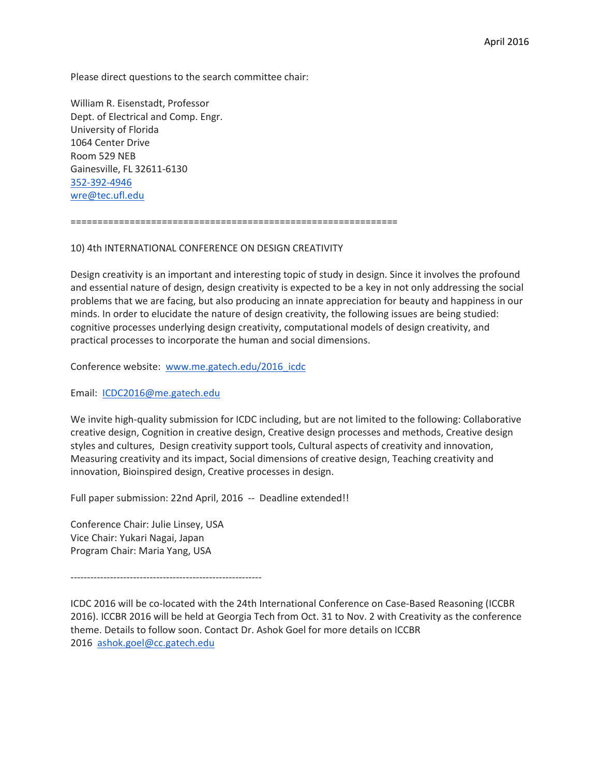Please direct questions to the search committee chair:

William R. Eisenstadt, Professor Dept. of Electrical and Comp. Engr. University of Florida 1064 Center Drive Room 529 NEB Gainesville, FL 32611-6130 [352-392-4946](tel:352-392-4946) [wre@tec.ufl.edu](mailto:wre@tec.ufl.edu)

=============================================================

### 10) 4th INTERNATIONAL CONFERENCE ON DESIGN CREATIVITY

Design creativity is an important and interesting topic of study in design. Since it involves the profound and essential nature of design, design creativity is expected to be a key in not only addressing the social problems that we are facing, but also producing an innate appreciation for beauty and happiness in our minds. In order to elucidate the nature of design creativity, the following issues are being studied: cognitive processes underlying design creativity, computational models of design creativity, and practical processes to incorporate the human and social dimensions.

Conference website: [www.me.gatech.edu/2016\\_icdc](http://www.me.gatech.edu/2016_icdc)

Email: [ICDC2016@me.gatech.edu](mailto:ICDC2016@me.gatech.edu)

We invite high-quality submission for ICDC including, but are not limited to the following: Collaborative creative design, Cognition in creative design, Creative design processes and methods, Creative design styles and cultures, Design creativity support tools, Cultural aspects of creativity and innovation, Measuring creativity and its impact, Social dimensions of creative design, Teaching creativity and innovation, Bioinspired design, Creative processes in design.

Full paper submission: 22nd April, 2016 -- Deadline extended!!

Conference Chair: Julie Linsey, USA Vice Chair: Yukari Nagai, Japan Program Chair: Maria Yang, USA

----------------------------------------------------------

ICDC 2016 will be co-located with the 24th International Conference on Case-Based Reasoning (ICCBR 2016). ICCBR 2016 will be held at Georgia Tech from Oct. 31 to Nov. 2 with Creativity as the conference theme. Details to follow soon. Contact Dr. Ashok Goel for more details on ICCBR 2016 [ashok.goel@cc.gatech.edu](mailto:ashok.goel@cc.gatech.edu)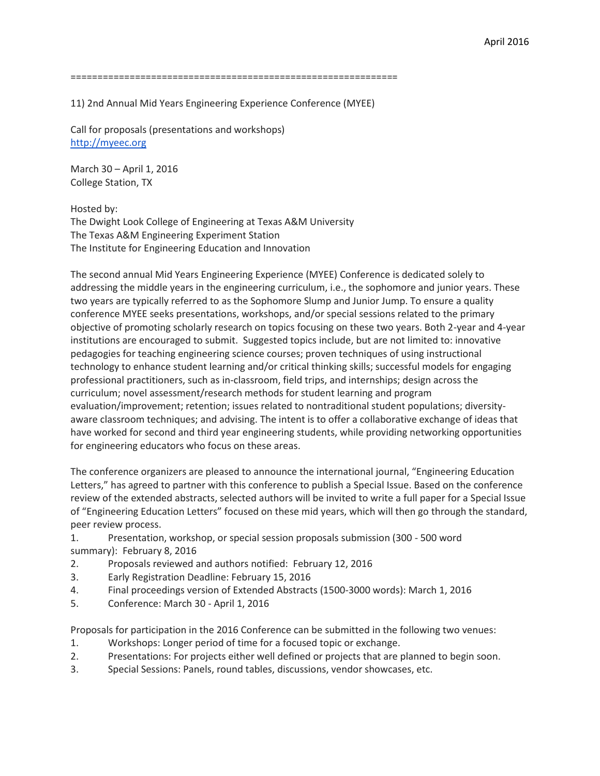11) 2nd Annual Mid Years Engineering Experience Conference (MYEE)

Call for proposals (presentations and workshops) [http://myeec.org](http://myeec.org/)

March 30 – April 1, 2016 College Station, TX

Hosted by:

The Dwight Look College of Engineering at Texas A&M University The Texas A&M Engineering Experiment Station The Institute for Engineering Education and Innovation

The second annual Mid Years Engineering Experience (MYEE) Conference is dedicated solely to addressing the middle years in the engineering curriculum, i.e., the sophomore and junior years. These two years are typically referred to as the Sophomore Slump and Junior Jump. To ensure a quality conference MYEE seeks presentations, workshops, and/or special sessions related to the primary objective of promoting scholarly research on topics focusing on these two years. Both 2-year and 4-year institutions are encouraged to submit. Suggested topics include, but are not limited to: innovative pedagogies for teaching engineering science courses; proven techniques of using instructional technology to enhance student learning and/or critical thinking skills; successful models for engaging professional practitioners, such as in-classroom, field trips, and internships; design across the curriculum; novel assessment/research methods for student learning and program evaluation/improvement; retention; issues related to nontraditional student populations; diversityaware classroom techniques; and advising. The intent is to offer a collaborative exchange of ideas that have worked for second and third year engineering students, while providing networking opportunities for engineering educators who focus on these areas.

The conference organizers are pleased to announce the international journal, "Engineering Education Letters," has agreed to partner with this conference to publish a Special Issue. Based on the conference review of the extended abstracts, selected authors will be invited to write a full paper for a Special Issue of "Engineering Education Letters" focused on these mid years, which will then go through the standard, peer review process.

- 1. Presentation, workshop, or special session proposals submission (300 500 word summary): February 8, 2016
- 2. Proposals reviewed and authors notified: February 12, 2016
- 3. Early Registration Deadline: February 15, 2016
- 4. Final proceedings version of Extended Abstracts (1500-3000 words): March 1, 2016
- 5. Conference: March 30 April 1, 2016

Proposals for participation in the 2016 Conference can be submitted in the following two venues:

- 1. Workshops: Longer period of time for a focused topic or exchange.
- 2. Presentations: For projects either well defined or projects that are planned to begin soon.
- 3. Special Sessions: Panels, round tables, discussions, vendor showcases, etc.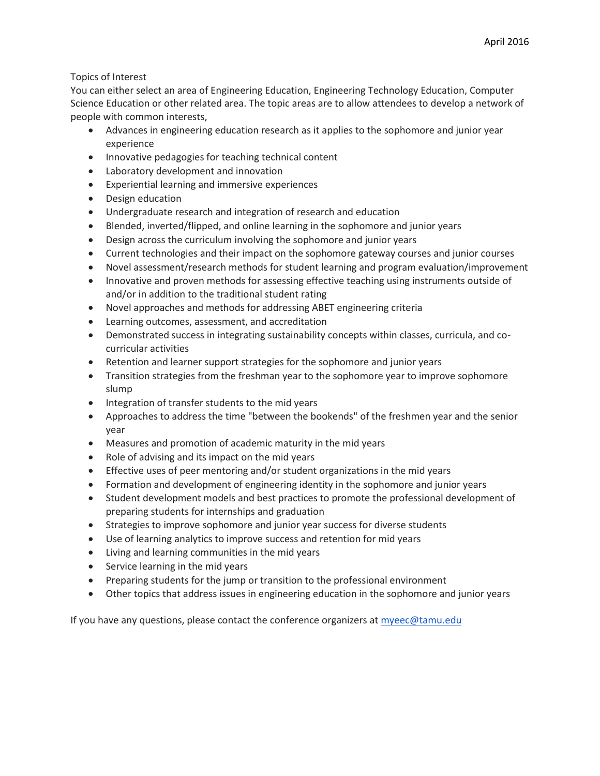# Topics of Interest

You can either select an area of Engineering Education, Engineering Technology Education, Computer Science Education or other related area. The topic areas are to allow attendees to develop a network of people with common interests,

- Advances in engineering education research as it applies to the sophomore and junior year experience
- Innovative pedagogies for teaching technical content
- Laboratory development and innovation
- Experiential learning and immersive experiences
- Design education
- Undergraduate research and integration of research and education
- Blended, inverted/flipped, and online learning in the sophomore and junior years
- Design across the curriculum involving the sophomore and junior years
- Current technologies and their impact on the sophomore gateway courses and junior courses
- Novel assessment/research methods for student learning and program evaluation/improvement
- Innovative and proven methods for assessing effective teaching using instruments outside of and/or in addition to the traditional student rating
- Novel approaches and methods for addressing ABET engineering criteria
- Learning outcomes, assessment, and accreditation
- Demonstrated success in integrating sustainability concepts within classes, curricula, and cocurricular activities
- Retention and learner support strategies for the sophomore and junior years
- Transition strategies from the freshman year to the sophomore year to improve sophomore slump
- Integration of transfer students to the mid years
- Approaches to address the time "between the bookends" of the freshmen year and the senior year
- Measures and promotion of academic maturity in the mid years
- Role of advising and its impact on the mid years
- Effective uses of peer mentoring and/or student organizations in the mid years
- Formation and development of engineering identity in the sophomore and junior years
- Student development models and best practices to promote the professional development of preparing students for internships and graduation
- Strategies to improve sophomore and junior year success for diverse students
- Use of learning analytics to improve success and retention for mid years
- Living and learning communities in the mid years
- Service learning in the mid years
- Preparing students for the jump or transition to the professional environment
- Other topics that address issues in engineering education in the sophomore and junior years

If you have any questions, please contact the conference organizers at [myeec@tamu.edu](mailto:myeec@tamu.edu)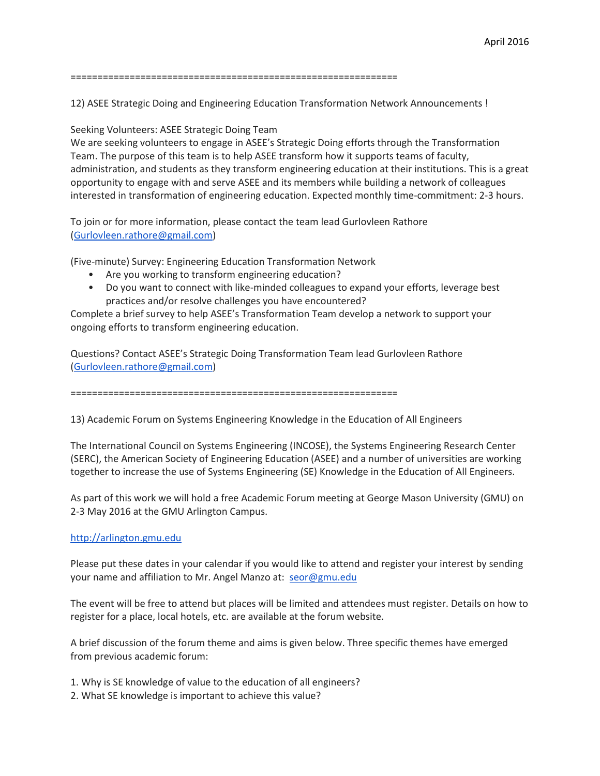12) ASEE Strategic Doing and Engineering Education Transformation Network Announcements !

Seeking Volunteers: ASEE Strategic Doing Team

We are seeking volunteers to engage in ASEE's Strategic Doing efforts through the Transformation Team. The purpose of this team is to help ASEE transform how it supports teams of faculty, administration, and students as they transform engineering education at their institutions. This is a great opportunity to engage with and serve ASEE and its members while building a network of colleagues interested in transformation of engineering education. Expected monthly time-commitment: 2-3 hours.

To join or for more information, please contact the team lead Gurlovleen Rathore [\(Gurlovleen.rathore@gmail.com\)](mailto:Gurlovleen.rathore@gmail.com)

(Five-minute) Survey: Engineering Education Transformation Network

- Are you working to transform engineering education?
- Do you want to connect with like-minded colleagues to expand your efforts, leverage best practices and/or resolve challenges you have encountered?

Complete a brief survey to help ASEE's Transformation Team develop a network to support your ongoing efforts to transform engineering education.

Questions? Contact ASEE's Strategic Doing Transformation Team lead Gurlovleen Rathore [\(Gurlovleen.rathore@gmail.com\)](mailto:Gurlovleen.rathore@gmail.com)

=============================================================

13) Academic Forum on Systems Engineering Knowledge in the Education of All Engineers

The International Council on Systems Engineering (INCOSE), the Systems Engineering Research Center (SERC), the American Society of Engineering Education (ASEE) and a number of universities are working together to increase the use of Systems Engineering (SE) Knowledge in the Education of All Engineers.

As part of this work we will hold a free Academic Forum meeting at George Mason University (GMU) on 2-3 May 2016 at the GMU Arlington Campus.

#### [http://arlington.gmu.edu](http://arlington.gmu.edu/)

Please put these dates in your calendar if you would like to attend and register your interest by sending your name and affiliation to Mr. Angel Manzo at: [seor@gmu.edu](mailto:seor@gmu.edu)

The event will be free to attend but places will be limited and attendees must register. Details on how to register for a place, local hotels, etc. are available at the forum website.

A brief discussion of the forum theme and aims is given below. Three specific themes have emerged from previous academic forum:

- 1. Why is SE knowledge of value to the education of all engineers?
- 2. What SE knowledge is important to achieve this value?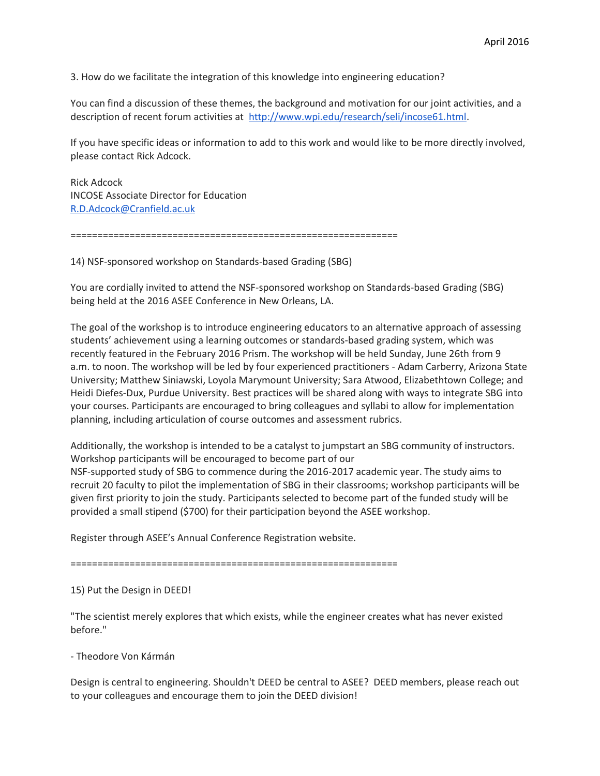3. How do we facilitate the integration of this knowledge into engineering education?

You can find a discussion of these themes, the background and motivation for our joint activities, and a description of recent forum activities at [http://www.wpi.edu/research/seli/incose61.html.](http://www.wpi.edu/research/seli/incose61.html)

If you have specific ideas or information to add to this work and would like to be more directly involved, please contact Rick Adcock.

Rick Adcock INCOSE Associate Director for Education [R.D.Adcock@Cranfield.ac.uk](mailto:R.D.Adcock@Cranfield.ac.uk)

=============================================================

14) NSF-sponsored workshop on Standards-based Grading (SBG)

You are cordially invited to attend the NSF-sponsored workshop on Standards-based Grading (SBG) being held at the 2016 ASEE Conference in New Orleans, LA.

The goal of the workshop is to introduce engineering educators to an alternative approach of assessing students' achievement using a learning outcomes or standards-based grading system, which was recently featured in the February 2016 Prism. The workshop will be held Sunday, June 26th from 9 a.m. to noon. The workshop will be led by four experienced practitioners - Adam Carberry, Arizona State University; Matthew Siniawski, Loyola Marymount University; Sara Atwood, Elizabethtown College; and Heidi Diefes-Dux, Purdue University. Best practices will be shared along with ways to integrate SBG into your courses. Participants are encouraged to bring colleagues and syllabi to allow for implementation planning, including articulation of course outcomes and assessment rubrics.

Additionally, the workshop is intended to be a catalyst to jumpstart an SBG community of instructors. Workshop participants will be encouraged to become part of our

NSF-supported study of SBG to commence during the 2016-2017 academic year. The study aims to recruit 20 faculty to pilot the implementation of SBG in their classrooms; workshop participants will be given first priority to join the study. Participants selected to become part of the funded study will be provided a small stipend (\$700) for their participation beyond the ASEE workshop.

Register through ASEE's Annual Conference Registration website.

=============================================================

15) Put the Design in DEED!

"The scientist merely explores that which exists, while the engineer creates what has never existed before."

- Theodore Von Kármán

Design is central to engineering. Shouldn't DEED be central to ASEE? DEED members, please reach out to your colleagues and encourage them to join the DEED division!